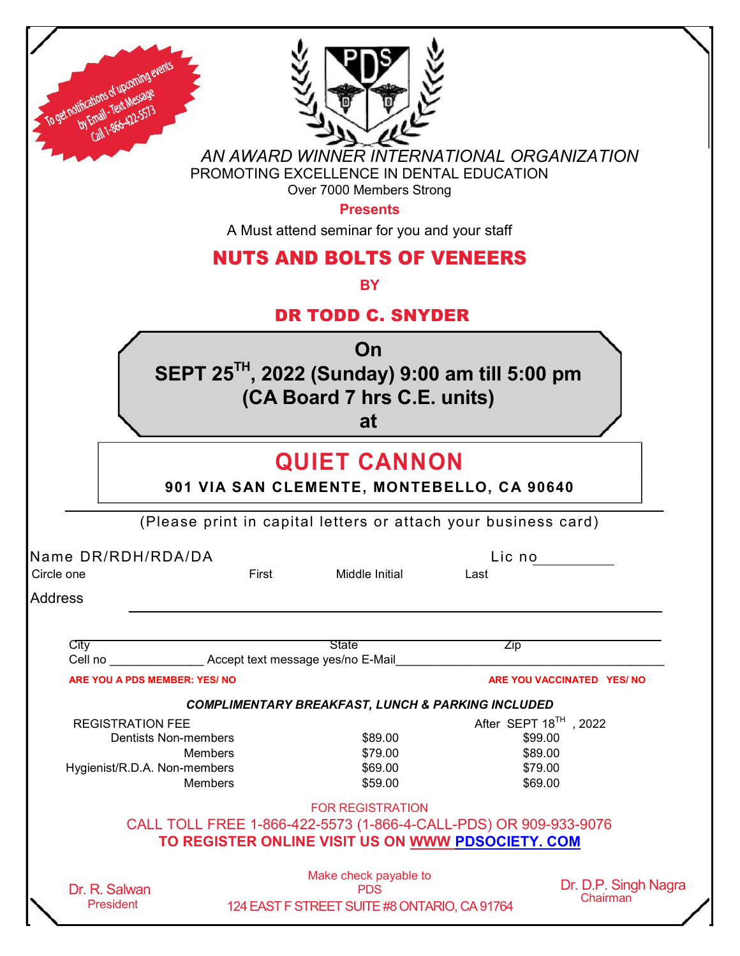| To get notifications of upcoming<br>by Email - Text Messag<br>Call 1-866-422-557                                           |       | AN AWARD WINNER INTERNATIONAL ORGANIZATION<br>PROMOTING EXCELLENCE IN DENTAL EDUCATION<br>Over 7000 Members Strong<br><b>Presents</b><br>A Must attend seminar for you and your staff<br><b>NUTS AND BOLTS OF VENEERS</b><br><b>BY</b><br><b>DR TODD C. SNYDER</b> |                                                                                |                                  |
|----------------------------------------------------------------------------------------------------------------------------|-------|--------------------------------------------------------------------------------------------------------------------------------------------------------------------------------------------------------------------------------------------------------------------|--------------------------------------------------------------------------------|----------------------------------|
|                                                                                                                            |       | On<br>SEPT 25 <sup>TH</sup> , 2022 (Sunday) 9:00 am till 5:00 pm<br>(CA Board 7 hrs C.E. units)<br>at                                                                                                                                                              |                                                                                |                                  |
|                                                                                                                            |       | <b>QUIET CANNON</b><br>901 VIA SAN CLEMENTE, MONTEBELLO, CA 90640<br>(Please print in capital letters or attach your business card)                                                                                                                                |                                                                                |                                  |
| Name DR/RDH/RDA/DA<br>Circle one<br><b>Address</b>                                                                         | First | Middle Initial                                                                                                                                                                                                                                                     | Lic no<br>Last                                                                 |                                  |
| City<br>Cell no <b>Cell no</b> Accept text message yes/no E-Mail<br><b>ARE YOU A PDS MEMBER: YES/ NO</b>                   |       | <b>State</b>                                                                                                                                                                                                                                                       | <b>Zip</b>                                                                     | ARE YOU VACCINATED YES/ NO       |
| <b>REGISTRATION FEE</b><br><b>Dentists Non-members</b><br><b>Members</b><br>Hygienist/R.D.A. Non-members<br><b>Members</b> |       | <b>COMPLIMENTARY BREAKFAST, LUNCH &amp; PARKING INCLUDED</b><br>\$89.00<br>\$79.00<br>\$69.00<br>\$59.00                                                                                                                                                           | After SEPT 18 <sup>TH</sup> , 2022<br>\$99.00<br>\$89.00<br>\$79.00<br>\$69.00 |                                  |
|                                                                                                                            |       | <b>FOR REGISTRATION</b><br>CALL TOLL FREE 1-866-422-5573 (1-866-4-CALL-PDS) OR 909-933-9076<br>TO REGISTER ONLINE VISIT US ON WWW PDSOCIETY. COM                                                                                                                   |                                                                                |                                  |
| Dr. R. Salwan<br><b>President</b>                                                                                          |       | Make check payable to<br><b>PDS</b><br>124 EAST F STREET SUITE #8 ONTARIO, CA 91764                                                                                                                                                                                |                                                                                | Dr. D.P. Singh Nagra<br>Chairman |